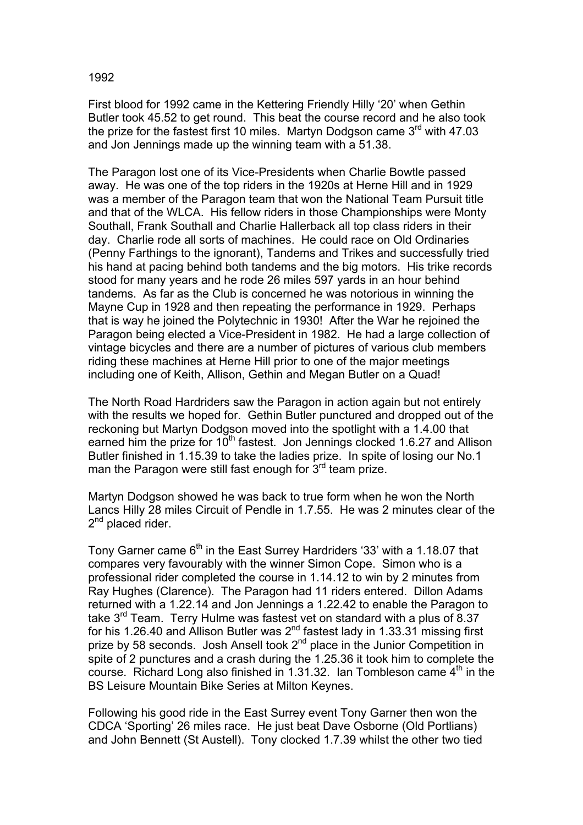First blood for 1992 came in the Kettering Friendly Hilly '20' when Gethin Butler took 45.52 to get round. This beat the course record and he also took the prize for the fastest first 10 miles. Martyn Dodgson came  $3<sup>rd</sup>$  with 47.03 and Jon Jennings made up the winning team with a 51.38.

The Paragon lost one of its Vice-Presidents when Charlie Bowtle passed away. He was one of the top riders in the 1920s at Herne Hill and in 1929 was a member of the Paragon team that won the National Team Pursuit title and that of the WLCA. His fellow riders in those Championships were Monty Southall, Frank Southall and Charlie Hallerback all top class riders in their day. Charlie rode all sorts of machines. He could race on Old Ordinaries (Penny Farthings to the ignorant), Tandems and Trikes and successfully tried his hand at pacing behind both tandems and the big motors. His trike records stood for many years and he rode 26 miles 597 yards in an hour behind tandems. As far as the Club is concerned he was notorious in winning the Mayne Cup in 1928 and then repeating the performance in 1929. Perhaps that is way he joined the Polytechnic in 1930! After the War he rejoined the Paragon being elected a Vice-President in 1982. He had a large collection of vintage bicycles and there are a number of pictures of various club members riding these machines at Herne Hill prior to one of the major meetings including one of Keith, Allison, Gethin and Megan Butler on a Quad!

The North Road Hardriders saw the Paragon in action again but not entirely with the results we hoped for. Gethin Butler punctured and dropped out of the reckoning but Martyn Dodgson moved into the spotlight with a 1.4.00 that earned him the prize for  $10<sup>th</sup>$  fastest. Jon Jennings clocked 1.6.27 and Allison Butler finished in 1.15.39 to take the ladies prize. In spite of losing our No.1 man the Paragon were still fast enough for  $3<sup>rd</sup>$  team prize.

Martyn Dodgson showed he was back to true form when he won the North Lancs Hilly 28 miles Circuit of Pendle in 1.7.55. He was 2 minutes clear of the 2<sup>nd</sup> placed rider.

Tony Garner came  $6<sup>th</sup>$  in the East Surrey Hardriders '33' with a 1.18.07 that compares very favourably with the winner Simon Cope. Simon who is a professional rider completed the course in 1.14.12 to win by 2 minutes from Ray Hughes (Clarence). The Paragon had 11 riders entered. Dillon Adams returned with a 1.22.14 and Jon Jennings a 1.22.42 to enable the Paragon to take 3<sup>rd</sup> Team. Terry Hulme was fastest vet on standard with a plus of 8.37 for his 1.26.40 and Allison Butler was 2<sup>nd</sup> fastest lady in 1.33.31 missing first prize by 58 seconds. Josh Ansell took  $2<sup>nd</sup>$  place in the Junior Competition in spite of 2 punctures and a crash during the 1.25.36 it took him to complete the course. Richard Long also finished in 1.31.32. Ian Tombleson came  $4<sup>th</sup>$  in the BS Leisure Mountain Bike Series at Milton Keynes.

Following his good ride in the East Surrey event Tony Garner then won the CDCA 'Sporting' 26 miles race. He just beat Dave Osborne (Old Portlians) and John Bennett (St Austell). Tony clocked 1.7.39 whilst the other two tied

## 1992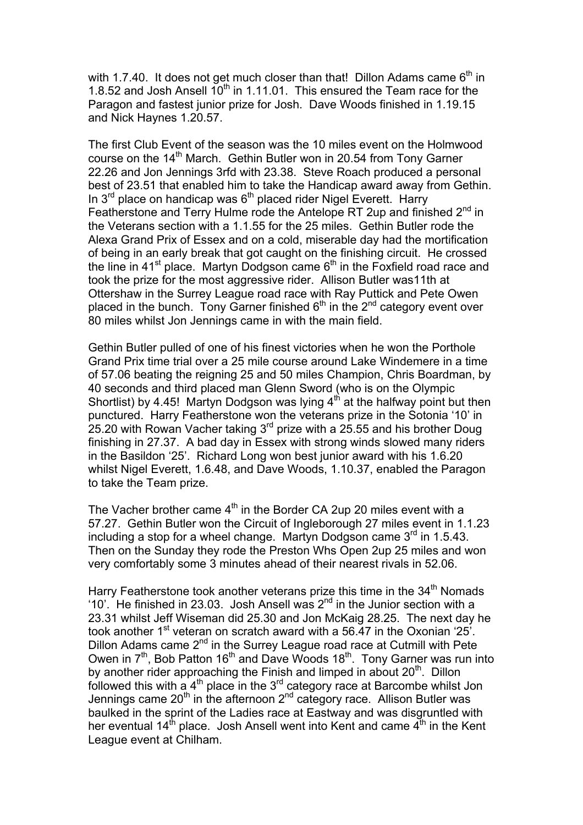with 1.7.40. It does not get much closer than that! Dillon Adams came  $6<sup>th</sup>$  in 1.8.52 and Josh Ansell  $10<sup>th</sup>$  in 1.11.01. This ensured the Team race for the Paragon and fastest junior prize for Josh. Dave Woods finished in 1.19.15 and Nick Haynes 1.20.57.

The first Club Event of the season was the 10 miles event on the Holmwood course on the  $14<sup>th</sup>$  March. Gethin Butler won in 20.54 from Tony Garner 22.26 and Jon Jennings 3rfd with 23.38. Steve Roach produced a personal best of 23.51 that enabled him to take the Handicap award away from Gethin. In  $3<sup>rd</sup>$  place on handicap was  $6<sup>th</sup>$  placed rider Nigel Everett. Harry Featherstone and Terry Hulme rode the Antelope RT 2up and finished  $2^{nd}$  in the Veterans section with a 1.1.55 for the 25 miles. Gethin Butler rode the Alexa Grand Prix of Essex and on a cold, miserable day had the mortification of being in an early break that got caught on the finishing circuit. He crossed the line in 41<sup>st</sup> place. Martyn Dodgson came  $6<sup>th</sup>$  in the Foxfield road race and took the prize for the most aggressive rider. Allison Butler was11th at Ottershaw in the Surrey League road race with Ray Puttick and Pete Owen placed in the bunch. Tony Garner finished  $6<sup>th</sup>$  in the  $2<sup>nd</sup>$  category event over 80 miles whilst Jon Jennings came in with the main field.

Gethin Butler pulled of one of his finest victories when he won the Porthole Grand Prix time trial over a 25 mile course around Lake Windemere in a time of 57.06 beating the reigning 25 and 50 miles Champion, Chris Boardman, by 40 seconds and third placed man Glenn Sword (who is on the Olympic Shortlist) by 4.45! Martyn Dodgson was lying  $4<sup>th</sup>$  at the halfway point but then punctured. Harry Featherstone won the veterans prize in the Sotonia '10' in 25.20 with Rowan Vacher taking  $3<sup>rd</sup>$  prize with a 25.55 and his brother Doug finishing in 27.37. A bad day in Essex with strong winds slowed many riders in the Basildon '25'. Richard Long won best junior award with his 1.6.20 whilst Nigel Everett, 1.6.48, and Dave Woods, 1.10.37, enabled the Paragon to take the Team prize.

The Vacher brother came  $4<sup>th</sup>$  in the Border CA 2up 20 miles event with a 57.27. Gethin Butler won the Circuit of Ingleborough 27 miles event in 1.1.23 including a stop for a wheel change. Martyn Dodgson came  $3<sup>rd</sup>$  in 1.5.43. Then on the Sunday they rode the Preston Whs Open 2up 25 miles and won very comfortably some 3 minutes ahead of their nearest rivals in 52.06.

Harry Featherstone took another veterans prize this time in the  $34<sup>th</sup>$  Nomads '10'. He finished in 23.03. Josh Ansell was  $2^{nd}$  in the Junior section with a 23.31 whilst Jeff Wiseman did 25.30 and Jon McKaig 28.25. The next day he took another  $1^{st}$  veteran on scratch award with a 56.47 in the Oxonian '25'. Dillon Adams came 2<sup>nd</sup> in the Surrey League road race at Cutmill with Pete Owen in  $7<sup>th</sup>$ , Bob Patton 16<sup>th</sup> and Dave Woods 18<sup>th</sup>. Tony Garner was run into by another rider approaching the Finish and limped in about  $20<sup>th</sup>$ . Dillon followed this with a 4<sup>th</sup> place in the 3<sup>rd</sup> category race at Barcombe whilst Jon Jennings came  $20^{th}$  in the afternoon  $2^{nd}$  category race. Allison Butler was baulked in the sprint of the Ladies race at Eastway and was disgruntled with her eventual  $14<sup>th</sup>$  place. Josh Ansell went into Kent and came  $4<sup>th</sup>$  in the Kent League event at Chilham.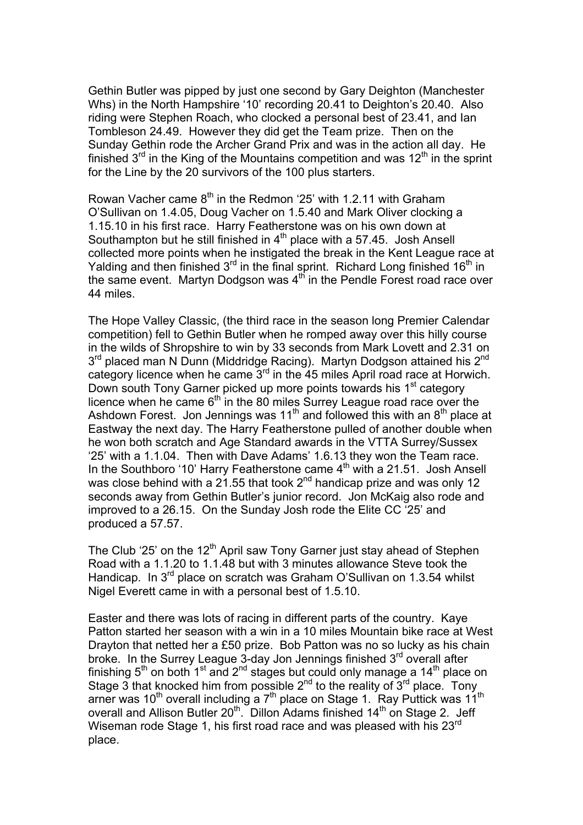Gethin Butler was pipped by just one second by Gary Deighton (Manchester Whs) in the North Hampshire '10' recording 20.41 to Deighton's 20.40. Also riding were Stephen Roach, who clocked a personal best of 23.41, and Ian Tombleson 24.49. However they did get the Team prize. Then on the Sunday Gethin rode the Archer Grand Prix and was in the action all day. He finished  $3<sup>rd</sup>$  in the King of the Mountains competition and was  $12<sup>th</sup>$  in the sprint for the Line by the 20 survivors of the 100 plus starters.

Rowan Vacher came  $8<sup>th</sup>$  in the Redmon '25' with 1.2.11 with Graham O'Sullivan on 1.4.05, Doug Vacher on 1.5.40 and Mark Oliver clocking a 1.15.10 in his first race. Harry Featherstone was on his own down at Southampton but he still finished in  $4<sup>th</sup>$  place with a 57.45. Josh Ansell collected more points when he instigated the break in the Kent League race at Yalding and then finished  $3^{rd}$  in the final sprint. Richard Long finished  $16^{th}$  in the same event. Martyn Dodgson was  $4<sup>th</sup>$  in the Pendle Forest road race over 44 miles.

The Hope Valley Classic, (the third race in the season long Premier Calendar competition) fell to Gethin Butler when he romped away over this hilly course in the wilds of Shropshire to win by 33 seconds from Mark Lovett and 2.31 on  $3<sup>rd</sup>$  placed man N Dunn (Middridge Racing). Martyn Dodgson attained his  $2<sup>nd</sup>$ category licence when he came  $3^{rd}$  in the 45 miles April road race at Horwich. Down south Tony Garner picked up more points towards his 1<sup>st</sup> category licence when he came  $6<sup>th</sup>$  in the 80 miles Surrey League road race over the Ashdown Forest. Jon Jennings was 11<sup>th</sup> and followed this with an  $8<sup>th</sup>$  place at Eastway the next day. The Harry Featherstone pulled of another double when he won both scratch and Age Standard awards in the VTTA Surrey/Sussex '25' with a 1.1.04. Then with Dave Adams' 1.6.13 they won the Team race. In the Southboro '10' Harry Featherstone came  $4<sup>th</sup>$  with a 21.51. Josh Ansell was close behind with a 21.55 that took  $2^{nd}$  handicap prize and was only 12 seconds away from Gethin Butler's junior record. Jon McKaig also rode and improved to a 26.15. On the Sunday Josh rode the Elite CC '25' and produced a 57.57.

The Club '25' on the  $12<sup>th</sup>$  April saw Tony Garner just stay ahead of Stephen Road with a 1.1.20 to 1.1.48 but with 3 minutes allowance Steve took the Handicap. In 3<sup>rd</sup> place on scratch was Graham O'Sullivan on 1.3.54 whilst Nigel Everett came in with a personal best of 1.5.10.

Easter and there was lots of racing in different parts of the country. Kaye Patton started her season with a win in a 10 miles Mountain bike race at West Drayton that netted her a £50 prize. Bob Patton was no so lucky as his chain broke. In the Surrey League 3-day Jon Jennings finished  $3<sup>rd</sup>$  overall after finishing  $5<sup>th</sup>$  on both 1<sup>st</sup> and 2<sup>nd</sup> stages but could only manage a 14<sup>th</sup> place on Stage 3 that knocked him from possible  $2^{nd}$  to the reality of  $3^{rd}$  place. Tony arner was 10<sup>th</sup> overall including a 7<sup>th</sup> place on Stage 1. Ray Puttick was 11<sup>th</sup> overall and Allison Butler 20<sup>th</sup>. Dillon Adams finished 14<sup>th</sup> on Stage 2. Jeff Wiseman rode Stage 1, his first road race and was pleased with his 23<sup>rd</sup> place.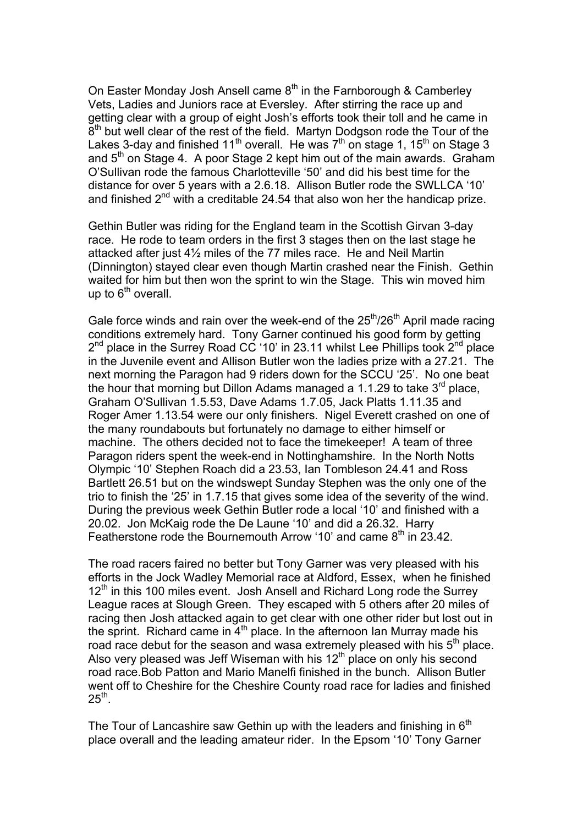On Easter Monday Josh Ansell came  $8<sup>th</sup>$  in the Farnborough & Camberley Vets, Ladies and Juniors race at Eversley. After stirring the race up and getting clear with a group of eight Josh's efforts took their toll and he came in 8<sup>th</sup> but well clear of the rest of the field. Martyn Dodgson rode the Tour of the Lakes 3-day and finished 11<sup>th</sup> overall. He was  $7<sup>th</sup>$  on stage 1, 15<sup>th</sup> on Stage 3 and 5<sup>th</sup> on Stage 4. A poor Stage 2 kept him out of the main awards. Graham O'Sullivan rode the famous Charlotteville '50' and did his best time for the distance for over 5 years with a 2.6.18. Allison Butler rode the SWLLCA '10' and finished  $2^{nd}$  with a creditable 24.54 that also won her the handicap prize.

Gethin Butler was riding for the England team in the Scottish Girvan 3-day race. He rode to team orders in the first 3 stages then on the last stage he attacked after just 4½ miles of the 77 miles race. He and Neil Martin (Dinnington) stayed clear even though Martin crashed near the Finish. Gethin waited for him but then won the sprint to win the Stage. This win moved him up to  $6<sup>th</sup>$  overall.

Gale force winds and rain over the week-end of the  $25<sup>th</sup>/26<sup>th</sup>$  April made racing conditions extremely hard. Tony Garner continued his good form by getting  $2^{nd}$  place in the Surrey Road CC '10' in 23.11 whilst Lee Phillips took  $2^{nd}$  place in the Juvenile event and Allison Butler won the ladies prize with a 27.21. The next morning the Paragon had 9 riders down for the SCCU '25'. No one beat the hour that morning but Dillon Adams managed a 1.1.29 to take  $3<sup>rd</sup>$  place, Graham O'Sullivan 1.5.53, Dave Adams 1.7.05, Jack Platts 1.11.35 and Roger Amer 1.13.54 were our only finishers. Nigel Everett crashed on one of the many roundabouts but fortunately no damage to either himself or machine. The others decided not to face the timekeeper! A team of three Paragon riders spent the week-end in Nottinghamshire. In the North Notts Olympic '10' Stephen Roach did a 23.53, Ian Tombleson 24.41 and Ross Bartlett 26.51 but on the windswept Sunday Stephen was the only one of the trio to finish the '25' in 1.7.15 that gives some idea of the severity of the wind. During the previous week Gethin Butler rode a local '10' and finished with a 20.02. Jon McKaig rode the De Laune '10' and did a 26.32. Harry Featherstone rode the Bournemouth Arrow '10' and came  $8<sup>th</sup>$  in 23.42.

The road racers faired no better but Tony Garner was very pleased with his efforts in the Jock Wadley Memorial race at Aldford, Essex, when he finished  $12<sup>tn</sup>$  in this 100 miles event. Josh Ansell and Richard Long rode the Surrey League races at Slough Green. They escaped with 5 others after 20 miles of racing then Josh attacked again to get clear with one other rider but lost out in the sprint. Richard came in  $4<sup>th</sup>$  place. In the afternoon Ian Murray made his road race debut for the season and wasa extremely pleased with his  $5<sup>th</sup>$  place. Also very pleased was Jeff Wiseman with his  $12<sup>th</sup>$  place on only his second road race.Bob Patton and Mario Manelfi finished in the bunch. Allison Butler went off to Cheshire for the Cheshire County road race for ladies and finished  $25^{th}$ .

The Tour of Lancashire saw Gethin up with the leaders and finishing in  $6<sup>th</sup>$ place overall and the leading amateur rider. In the Epsom '10' Tony Garner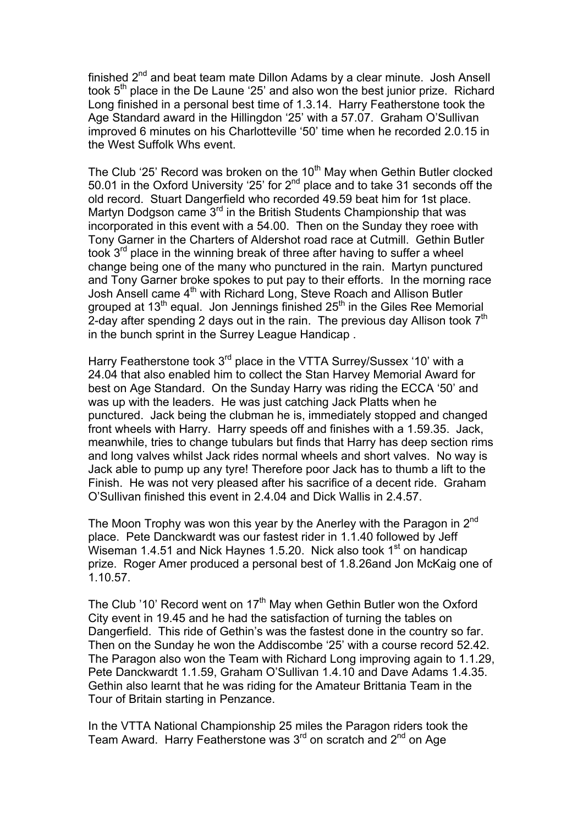finished 2<sup>nd</sup> and beat team mate Dillon Adams by a clear minute. Josh Ansell took 5<sup>th</sup> place in the De Laune '25' and also won the best junior prize. Richard Long finished in a personal best time of 1.3.14. Harry Featherstone took the Age Standard award in the Hillingdon '25' with a 57.07. Graham O'Sullivan improved 6 minutes on his Charlotteville '50' time when he recorded 2.0.15 in the West Suffolk Whs event.

The Club '25' Record was broken on the 10<sup>th</sup> May when Gethin Butler clocked 50.01 in the Oxford University '25' for 2<sup>nd</sup> place and to take 31 seconds off the old record. Stuart Dangerfield who recorded 49.59 beat him for 1st place. Martyn Dodgson came  $3<sup>rd</sup>$  in the British Students Championship that was incorporated in this event with a 54.00. Then on the Sunday they roee with Tony Garner in the Charters of Aldershot road race at Cutmill. Gethin Butler took  $3<sup>rd</sup>$  place in the winning break of three after having to suffer a wheel change being one of the many who punctured in the rain. Martyn punctured and Tony Garner broke spokes to put pay to their efforts. In the morning race Josh Ansell came 4<sup>th</sup> with Richard Long, Steve Roach and Allison Butler grouped at  $13<sup>th</sup>$  equal. Jon Jennings finished  $25<sup>th</sup>$  in the Giles Ree Memorial 2-day after spending 2 days out in the rain. The previous day Allison took  $7<sup>th</sup>$ in the bunch sprint in the Surrey League Handicap .

Harry Featherstone took 3<sup>rd</sup> place in the VTTA Surrey/Sussex '10' with a 24.04 that also enabled him to collect the Stan Harvey Memorial Award for best on Age Standard. On the Sunday Harry was riding the ECCA '50' and was up with the leaders. He was just catching Jack Platts when he punctured. Jack being the clubman he is, immediately stopped and changed front wheels with Harry. Harry speeds off and finishes with a 1.59.35. Jack, meanwhile, tries to change tubulars but finds that Harry has deep section rims and long valves whilst Jack rides normal wheels and short valves. No way is Jack able to pump up any tyre! Therefore poor Jack has to thumb a lift to the Finish. He was not very pleased after his sacrifice of a decent ride. Graham O'Sullivan finished this event in 2.4.04 and Dick Wallis in 2.4.57.

The Moon Trophy was won this year by the Anerley with the Paragon in 2<sup>nd</sup> place. Pete Danckwardt was our fastest rider in 1.1.40 followed by Jeff Wiseman 1.4.51 and Nick Haynes 1.5.20. Nick also took  $1<sup>st</sup>$  on handicap prize. Roger Amer produced a personal best of 1.8.26and Jon McKaig one of 1.10.57.

The Club '10' Record went on 17<sup>th</sup> May when Gethin Butler won the Oxford City event in 19.45 and he had the satisfaction of turning the tables on Dangerfield. This ride of Gethin's was the fastest done in the country so far. Then on the Sunday he won the Addiscombe '25' with a course record 52.42. The Paragon also won the Team with Richard Long improving again to 1.1.29, Pete Danckwardt 1.1.59, Graham O'Sullivan 1.4.10 and Dave Adams 1.4.35. Gethin also learnt that he was riding for the Amateur Brittania Team in the Tour of Britain starting in Penzance.

In the VTTA National Championship 25 miles the Paragon riders took the Team Award. Harry Featherstone was 3<sup>rd</sup> on scratch and 2<sup>nd</sup> on Age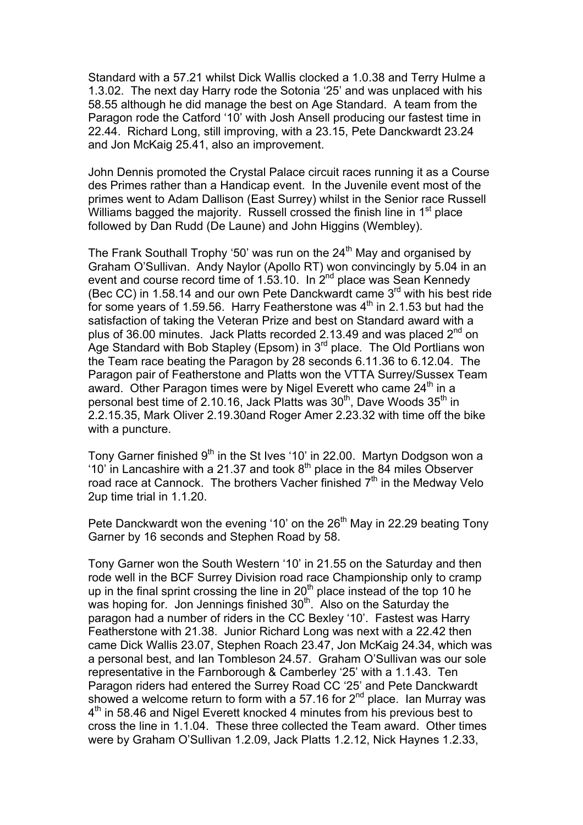Standard with a 57.21 whilst Dick Wallis clocked a 1.0.38 and Terry Hulme a 1.3.02. The next day Harry rode the Sotonia '25' and was unplaced with his 58.55 although he did manage the best on Age Standard. A team from the Paragon rode the Catford '10' with Josh Ansell producing our fastest time in 22.44. Richard Long, still improving, with a 23.15, Pete Danckwardt 23.24 and Jon McKaig 25.41, also an improvement.

John Dennis promoted the Crystal Palace circuit races running it as a Course des Primes rather than a Handicap event. In the Juvenile event most of the primes went to Adam Dallison (East Surrey) whilst in the Senior race Russell Williams bagged the majority. Russell crossed the finish line in 1<sup>st</sup> place followed by Dan Rudd (De Laune) and John Higgins (Wembley).

The Frank Southall Trophy '50' was run on the  $24<sup>th</sup>$  May and organised by Graham O'Sullivan. Andy Naylor (Apollo RT) won convincingly by 5.04 in an event and course record time of 1.53.10. In 2<sup>nd</sup> place was Sean Kennedy (Bec CC) in 1.58.14 and our own Pete Danckwardt came 3rd with his best ride for some years of 1.59.56. Harry Featherstone was  $4<sup>th</sup>$  in 2.1.53 but had the satisfaction of taking the Veteran Prize and best on Standard award with a plus of 36.00 minutes. Jack Platts recorded 2.13.49 and was placed 2<sup>nd</sup> on Age Standard with Bob Stapley (Epsom) in  $3<sup>rd</sup>$  place. The Old Portlians won the Team race beating the Paragon by 28 seconds 6.11.36 to 6.12.04. The Paragon pair of Featherstone and Platts won the VTTA Surrey/Sussex Team award. Other Paragon times were by Nigel Everett who came  $24<sup>th</sup>$  in a personal best time of 2.10.16, Jack Platts was 30<sup>th</sup>, Dave Woods 35<sup>th</sup> in 2.2.15.35, Mark Oliver 2.19.30and Roger Amer 2.23.32 with time off the bike with a puncture.

Tony Garner finished 9<sup>th</sup> in the St Ives '10' in 22.00. Martyn Dodgson won a '10' in Lancashire with a 21.37 and took  $8<sup>th</sup>$  place in the 84 miles Observer road race at Cannock. The brothers Vacher finished  $7<sup>th</sup>$  in the Medway Velo 2up time trial in 1.1.20.

Pete Danckwardt won the evening '10' on the  $26<sup>th</sup>$  May in 22.29 beating Tony Garner by 16 seconds and Stephen Road by 58.

Tony Garner won the South Western '10' in 21.55 on the Saturday and then rode well in the BCF Surrey Division road race Championship only to cramp up in the final sprint crossing the line in  $20<sup>th</sup>$  place instead of the top 10 he was hoping for. Jon Jennings finished  $30<sup>th</sup>$ . Also on the Saturday the paragon had a number of riders in the CC Bexley '10'. Fastest was Harry Featherstone with 21.38. Junior Richard Long was next with a 22.42 then came Dick Wallis 23.07, Stephen Roach 23.47, Jon McKaig 24.34, which was a personal best, and Ian Tombleson 24.57. Graham O'Sullivan was our sole representative in the Farnborough & Camberley '25' with a 1.1.43. Ten Paragon riders had entered the Surrey Road CC '25' and Pete Danckwardt showed a welcome return to form with a 57.16 for  $2^{nd}$  place. Ian Murray was 4<sup>th</sup> in 58.46 and Nigel Everett knocked 4 minutes from his previous best to cross the line in 1.1.04. These three collected the Team award. Other times were by Graham O'Sullivan 1.2.09, Jack Platts 1.2.12, Nick Haynes 1.2.33,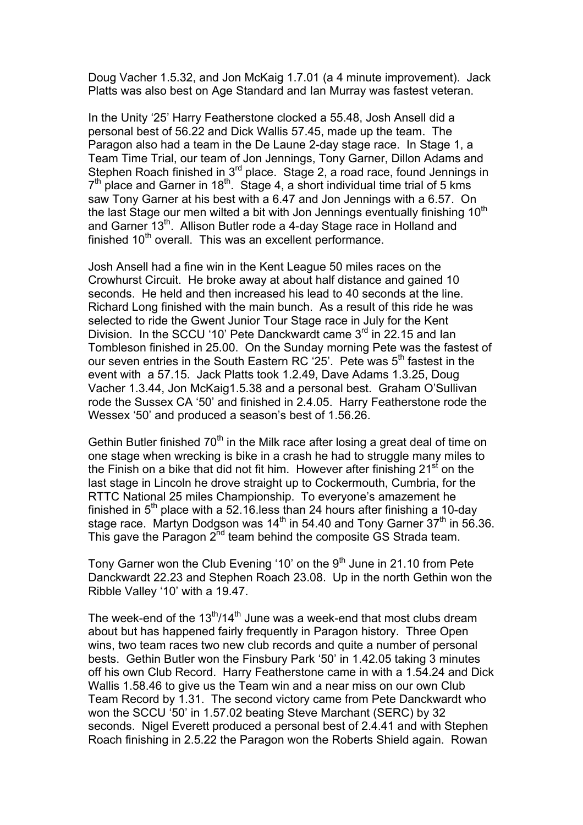Doug Vacher 1.5.32, and Jon McKaig 1.7.01 (a 4 minute improvement). Jack Platts was also best on Age Standard and Ian Murray was fastest veteran.

In the Unity '25' Harry Featherstone clocked a 55.48, Josh Ansell did a personal best of 56.22 and Dick Wallis 57.45, made up the team. The Paragon also had a team in the De Laune 2-day stage race. In Stage 1, a Team Time Trial, our team of Jon Jennings, Tony Garner, Dillon Adams and Stephen Roach finished in 3<sup>rd</sup> place. Stage 2, a road race, found Jennings in  $7<sup>th</sup>$  place and Garner in 18<sup>th</sup>. Stage 4, a short individual time trial of 5 kms saw Tony Garner at his best with a 6.47 and Jon Jennings with a 6.57. On the last Stage our men wilted a bit with Jon Jennings eventually finishing  $10<sup>th</sup>$ and Garner 13<sup>th</sup>. Allison Butler rode a 4-day Stage race in Holland and finished 10<sup>th</sup> overall. This was an excellent performance.

Josh Ansell had a fine win in the Kent League 50 miles races on the Crowhurst Circuit. He broke away at about half distance and gained 10 seconds. He held and then increased his lead to 40 seconds at the line. Richard Long finished with the main bunch. As a result of this ride he was selected to ride the Gwent Junior Tour Stage race in July for the Kent Division. In the SCCU '10' Pete Danckwardt came 3<sup>rd</sup> in 22.15 and Ian Tombleson finished in 25.00. On the Sunday morning Pete was the fastest of our seven entries in the South Eastern RC '25'. Pete was 5<sup>th</sup> fastest in the event with a 57.15. Jack Platts took 1.2.49, Dave Adams 1.3.25, Doug Vacher 1.3.44, Jon McKaig1.5.38 and a personal best. Graham O'Sullivan rode the Sussex CA '50' and finished in 2.4.05. Harry Featherstone rode the Wessex '50' and produced a season's best of 1.56.26.

Gethin Butler finished  $70<sup>th</sup>$  in the Milk race after losing a great deal of time on one stage when wrecking is bike in a crash he had to struggle many miles to the Finish on a bike that did not fit him. However after finishing  $21<sup>st</sup>$  on the last stage in Lincoln he drove straight up to Cockermouth, Cumbria, for the RTTC National 25 miles Championship. To everyone's amazement he finished in  $5<sup>th</sup>$  place with a 52.16 less than 24 hours after finishing a 10-day stage race. Martyn Dodgson was  $14<sup>th</sup>$  in 54.40 and Tony Garner  $37<sup>th</sup>$  in 56.36. This gave the Paragon  $2^{nd}$  team behind the composite GS Strada team.

Tony Garner won the Club Evening '10' on the  $9<sup>th</sup>$  June in 21.10 from Pete Danckwardt 22.23 and Stephen Roach 23.08. Up in the north Gethin won the Ribble Valley '10' with a 19.47.

The week-end of the  $13<sup>th</sup>/14<sup>th</sup>$  June was a week-end that most clubs dream about but has happened fairly frequently in Paragon history. Three Open wins, two team races two new club records and quite a number of personal bests. Gethin Butler won the Finsbury Park '50' in 1.42.05 taking 3 minutes off his own Club Record. Harry Featherstone came in with a 1.54.24 and Dick Wallis 1.58.46 to give us the Team win and a near miss on our own Club Team Record by 1.31. The second victory came from Pete Danckwardt who won the SCCU '50' in 1.57.02 beating Steve Marchant (SERC) by 32 seconds. Nigel Everett produced a personal best of 2.4.41 and with Stephen Roach finishing in 2.5.22 the Paragon won the Roberts Shield again. Rowan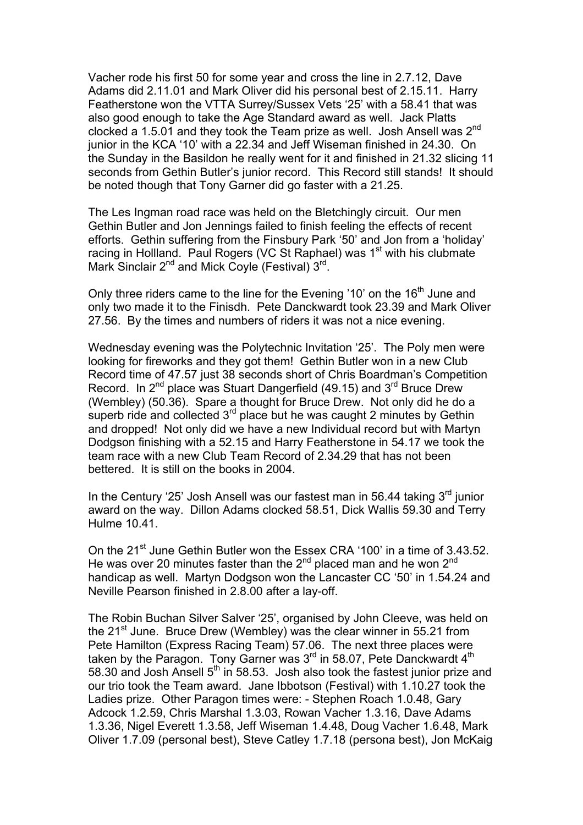Vacher rode his first 50 for some year and cross the line in 2.7.12, Dave Adams did 2.11.01 and Mark Oliver did his personal best of 2.15.11. Harry Featherstone won the VTTA Surrey/Sussex Vets '25' with a 58.41 that was also good enough to take the Age Standard award as well. Jack Platts clocked a 1.5.01 and they took the Team prize as well. Josh Ansell was 2<sup>nd</sup> junior in the KCA '10' with a 22.34 and Jeff Wiseman finished in 24.30. On the Sunday in the Basildon he really went for it and finished in 21.32 slicing 11 seconds from Gethin Butler's junior record. This Record still stands! It should be noted though that Tony Garner did go faster with a 21.25.

The Les Ingman road race was held on the Bletchingly circuit. Our men Gethin Butler and Jon Jennings failed to finish feeling the effects of recent efforts. Gethin suffering from the Finsbury Park '50' and Jon from a 'holiday' racing in Hollland. Paul Rogers (VC St Raphael) was 1<sup>st</sup> with his clubmate Mark Sinclair 2<sup>nd</sup> and Mick Coyle (Festival) 3<sup>rd</sup>.

Only three riders came to the line for the Evening '10' on the 16<sup>th</sup> June and only two made it to the Finisdh. Pete Danckwardt took 23.39 and Mark Oliver 27.56. By the times and numbers of riders it was not a nice evening.

Wednesday evening was the Polytechnic Invitation '25'. The Poly men were looking for fireworks and they got them! Gethin Butler won in a new Club Record time of 47.57 just 38 seconds short of Chris Boardman's Competition Record. In  $2^{nd}$  place was Stuart Dangerfield (49.15) and  $3^{rd}$  Bruce Drew (Wembley) (50.36). Spare a thought for Bruce Drew. Not only did he do a superb ride and collected  $3<sup>rd</sup>$  place but he was caught 2 minutes by Gethin and dropped! Not only did we have a new Individual record but with Martyn Dodgson finishing with a 52.15 and Harry Featherstone in 54.17 we took the team race with a new Club Team Record of 2.34.29 that has not been bettered. It is still on the books in 2004.

In the Century '25' Josh Ansell was our fastest man in 56.44 taking  $3<sup>rd</sup>$  junior award on the way. Dillon Adams clocked 58.51, Dick Wallis 59.30 and Terry Hulme 10.41.

On the 21<sup>st</sup> June Gethin Butler won the Essex CRA '100' in a time of 3.43.52. He was over 20 minutes faster than the  $2^{nd}$  placed man and he won  $2^{nd}$ handicap as well. Martyn Dodgson won the Lancaster CC '50' in 1.54.24 and Neville Pearson finished in 2.8.00 after a lay-off.

The Robin Buchan Silver Salver '25', organised by John Cleeve, was held on the  $21^{st}$  June. Bruce Drew (Wembley) was the clear winner in 55.21 from Pete Hamilton (Express Racing Team) 57.06. The next three places were taken by the Paragon. Tony Garner was  $3<sup>rd</sup>$  in 58.07, Pete Danckwardt  $4<sup>th</sup>$ 58.30 and Josh Ansell  $5<sup>th</sup>$  in 58.53. Josh also took the fastest junior prize and our trio took the Team award. Jane Ibbotson (Festival) with 1.10.27 took the Ladies prize. Other Paragon times were: - Stephen Roach 1.0.48, Gary Adcock 1.2.59, Chris Marshal 1.3.03, Rowan Vacher 1.3.16, Dave Adams 1.3.36, Nigel Everett 1.3.58, Jeff Wiseman 1.4.48, Doug Vacher 1.6.48, Mark Oliver 1.7.09 (personal best), Steve Catley 1.7.18 (persona best), Jon McKaig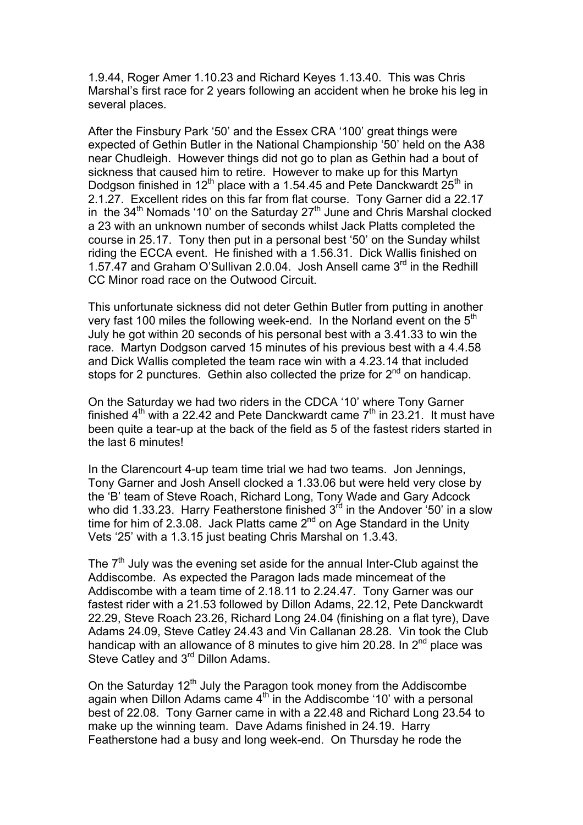1.9.44, Roger Amer 1.10.23 and Richard Keyes 1.13.40. This was Chris Marshal's first race for 2 years following an accident when he broke his leg in several places.

After the Finsbury Park '50' and the Essex CRA '100' great things were expected of Gethin Butler in the National Championship '50' held on the A38 near Chudleigh. However things did not go to plan as Gethin had a bout of sickness that caused him to retire. However to make up for this Martyn Dodgson finished in  $12^{th}$  place with a 1.54.45 and Pete Danckwardt  $25^{th}$  in 2.1.27. Excellent rides on this far from flat course. Tony Garner did a 22.17 in the  $34<sup>th</sup>$  Nomads '10' on the Saturday  $27<sup>th</sup>$  June and Chris Marshal clocked a 23 with an unknown number of seconds whilst Jack Platts completed the course in 25.17. Tony then put in a personal best '50' on the Sunday whilst riding the ECCA event. He finished with a 1.56.31. Dick Wallis finished on 1.57.47 and Graham O'Sullivan 2.0.04. Josh Ansell came 3<sup>rd</sup> in the Redhill CC Minor road race on the Outwood Circuit.

This unfortunate sickness did not deter Gethin Butler from putting in another very fast 100 miles the following week-end. In the Norland event on the 5<sup>th</sup> July he got within 20 seconds of his personal best with a 3.41.33 to win the race. Martyn Dodgson carved 15 minutes of his previous best with a 4.4.58 and Dick Wallis completed the team race win with a 4.23.14 that included stops for 2 punctures. Gethin also collected the prize for 2<sup>nd</sup> on handicap.

On the Saturday we had two riders in the CDCA '10' where Tony Garner finished  $4<sup>th</sup>$  with a 22.42 and Pete Danckwardt came  $7<sup>th</sup>$  in 23.21. It must have been quite a tear-up at the back of the field as 5 of the fastest riders started in the last 6 minutes!

In the Clarencourt 4-up team time trial we had two teams. Jon Jennings, Tony Garner and Josh Ansell clocked a 1.33.06 but were held very close by the 'B' team of Steve Roach, Richard Long, Tony Wade and Gary Adcock who did 1.33.23. Harry Featherstone finished  $3<sup>rd</sup>$  in the Andover '50' in a slow time for him of  $2.3.08$ . Jack Platts came  $2<sup>nd</sup>$  on Age Standard in the Unity Vets '25' with a 1.3.15 just beating Chris Marshal on 1.3.43.

The  $7<sup>th</sup>$  July was the evening set aside for the annual Inter-Club against the Addiscombe. As expected the Paragon lads made mincemeat of the Addiscombe with a team time of 2.18.11 to 2.24.47. Tony Garner was our fastest rider with a 21.53 followed by Dillon Adams, 22.12, Pete Danckwardt 22.29, Steve Roach 23.26, Richard Long 24.04 (finishing on a flat tyre), Dave Adams 24.09, Steve Catley 24.43 and Vin Callanan 28.28. Vin took the Club handicap with an allowance of 8 minutes to give him 20.28. In 2<sup>nd</sup> place was Steve Catley and 3<sup>rd</sup> Dillon Adams.

On the Saturday  $12<sup>th</sup>$  July the Paragon took money from the Addiscombe again when Dillon Adams came  $4<sup>th</sup>$  in the Addiscombe '10' with a personal best of 22.08. Tony Garner came in with a 22.48 and Richard Long 23.54 to make up the winning team. Dave Adams finished in 24.19. Harry Featherstone had a busy and long week-end. On Thursday he rode the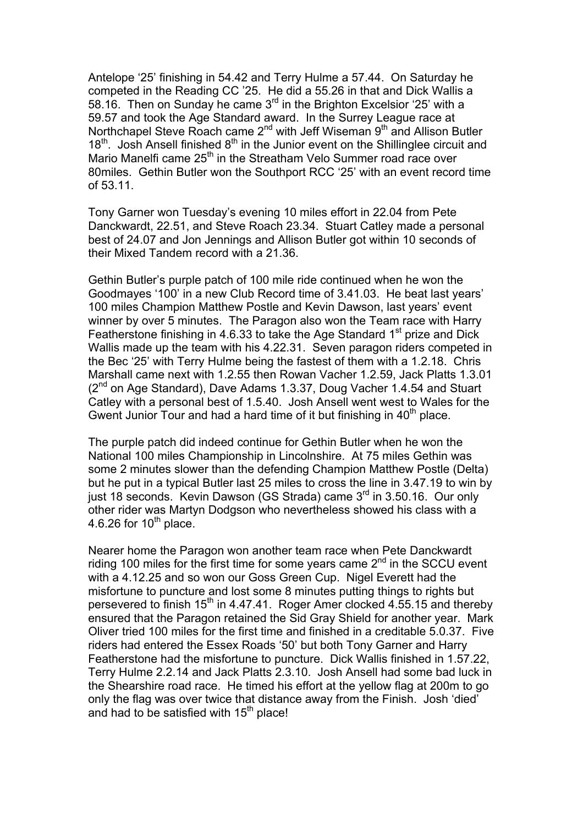Antelope '25' finishing in 54.42 and Terry Hulme a 57.44. On Saturday he competed in the Reading CC '25. He did a 55.26 in that and Dick Wallis a 58.16. Then on Sunday he came 3rd in the Brighton Excelsior '25' with a 59.57 and took the Age Standard award. In the Surrey League race at Northchapel Steve Roach came 2<sup>nd</sup> with Jeff Wiseman 9<sup>th</sup> and Allison Butler  $18<sup>th</sup>$ . Josh Ansell finished  $8<sup>th</sup>$  in the Junior event on the Shillinglee circuit and Mario Manelfi came 25<sup>th</sup> in the Streatham Velo Summer road race over 80miles. Gethin Butler won the Southport RCC '25' with an event record time of 53.11.

Tony Garner won Tuesday's evening 10 miles effort in 22.04 from Pete Danckwardt, 22.51, and Steve Roach 23.34. Stuart Catley made a personal best of 24.07 and Jon Jennings and Allison Butler got within 10 seconds of their Mixed Tandem record with a 21.36.

Gethin Butler's purple patch of 100 mile ride continued when he won the Goodmayes '100' in a new Club Record time of 3.41.03. He beat last years' 100 miles Champion Matthew Postle and Kevin Dawson, last years' event winner by over 5 minutes. The Paragon also won the Team race with Harry Featherstone finishing in 4.6.33 to take the Age Standard  $1<sup>st</sup>$  prize and Dick Wallis made up the team with his 4.22.31. Seven paragon riders competed in the Bec '25' with Terry Hulme being the fastest of them with a 1.2.18. Chris Marshall came next with 1.2.55 then Rowan Vacher 1.2.59, Jack Platts 1.3.01  $(2^{nd}$  on Age Standard), Dave Adams 1.3.37, Doug Vacher 1.4.54 and Stuart Catley with a personal best of 1.5.40. Josh Ansell went west to Wales for the Gwent Junior Tour and had a hard time of it but finishing in  $40<sup>th</sup>$  place.

The purple patch did indeed continue for Gethin Butler when he won the National 100 miles Championship in Lincolnshire. At 75 miles Gethin was some 2 minutes slower than the defending Champion Matthew Postle (Delta) but he put in a typical Butler last 25 miles to cross the line in 3.47.19 to win by just 18 seconds. Kevin Dawson (GS Strada) came 3<sup>rd</sup> in 3.50.16. Our only other rider was Martyn Dodgson who nevertheless showed his class with a 4.6.26 for  $10^{th}$  place.

Nearer home the Paragon won another team race when Pete Danckwardt riding 100 miles for the first time for some vears came  $2<sup>nd</sup>$  in the SCCU event with a 4.12.25 and so won our Goss Green Cup. Nigel Everett had the misfortune to puncture and lost some 8 minutes putting things to rights but persevered to finish  $15<sup>th</sup>$  in 4.47.41. Roger Amer clocked 4.55.15 and thereby ensured that the Paragon retained the Sid Gray Shield for another year. Mark Oliver tried 100 miles for the first time and finished in a creditable 5.0.37. Five riders had entered the Essex Roads '50' but both Tony Garner and Harry Featherstone had the misfortune to puncture. Dick Wallis finished in 1.57.22, Terry Hulme 2.2.14 and Jack Platts 2.3.10. Josh Ansell had some bad luck in the Shearshire road race. He timed his effort at the yellow flag at 200m to go only the flag was over twice that distance away from the Finish. Josh 'died' and had to be satisfied with  $15<sup>th</sup>$  place!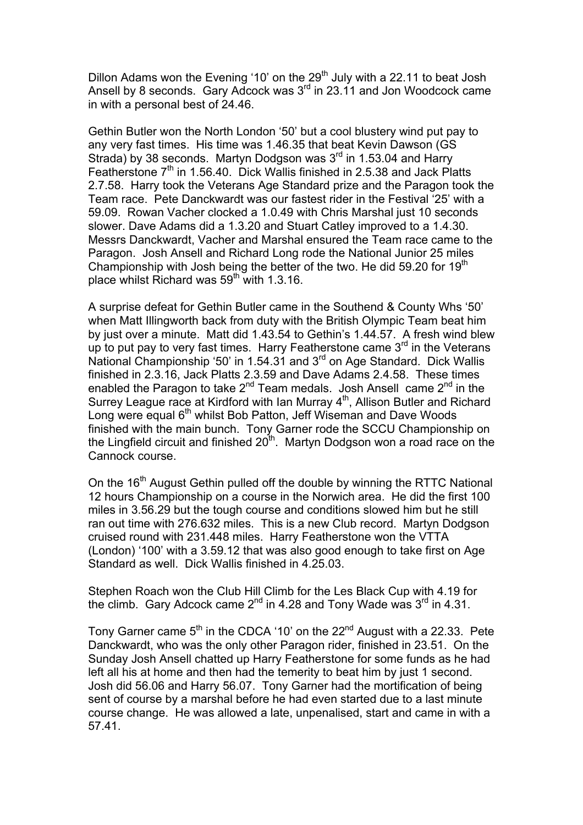Dillon Adams won the Evening '10' on the 29<sup>th</sup> July with a 22.11 to beat Josh Ansell by 8 seconds. Gary Adcock was  $3<sup>rd</sup>$  in 23.11 and Jon Woodcock came in with a personal best of 24.46.

Gethin Butler won the North London '50' but a cool blustery wind put pay to any very fast times. His time was 1.46.35 that beat Kevin Dawson (GS Strada) by 38 seconds. Martyn Dodgson was  $3<sup>rd</sup>$  in 1.53.04 and Harry Featherstone 7<sup>th</sup> in 1.56.40. Dick Wallis finished in 2.5.38 and Jack Platts 2.7.58. Harry took the Veterans Age Standard prize and the Paragon took the Team race. Pete Danckwardt was our fastest rider in the Festival '25' with a 59.09. Rowan Vacher clocked a 1.0.49 with Chris Marshal just 10 seconds slower. Dave Adams did a 1.3.20 and Stuart Catley improved to a 1.4.30. Messrs Danckwardt, Vacher and Marshal ensured the Team race came to the Paragon. Josh Ansell and Richard Long rode the National Junior 25 miles Championship with Josh being the better of the two. He did 59.20 for  $19<sup>th</sup>$ place whilst Richard was  $59<sup>th</sup>$  with 1.3.16.

A surprise defeat for Gethin Butler came in the Southend & County Whs '50' when Matt Illingworth back from duty with the British Olympic Team beat him by just over a minute. Matt did 1.43.54 to Gethin's 1.44.57. A fresh wind blew up to put pay to very fast times. Harry Featherstone came  $3<sup>rd</sup>$  in the Veterans National Championship '50' in 1.54.31 and 3<sup>rd</sup> on Age Standard. Dick Wallis finished in 2.3.16, Jack Platts 2.3.59 and Dave Adams 2.4.58. These times enabled the Paragon to take  $2^{nd}$  Team medals. Josh Ansell came  $2^{nd}$  in the Surrey League race at Kirdford with Ian Murray 4<sup>th</sup>, Allison Butler and Richard Long were equal 6<sup>th</sup> whilst Bob Patton, Jeff Wiseman and Dave Woods finished with the main bunch. Tony Garner rode the SCCU Championship on the Lingfield circuit and finished  $20<sup>th</sup>$ . Martyn Dodgson won a road race on the Cannock course.

On the 16<sup>th</sup> August Gethin pulled off the double by winning the RTTC National 12 hours Championship on a course in the Norwich area. He did the first 100 miles in 3.56.29 but the tough course and conditions slowed him but he still ran out time with 276.632 miles. This is a new Club record. Martyn Dodgson cruised round with 231.448 miles. Harry Featherstone won the VTTA (London) '100' with a 3.59.12 that was also good enough to take first on Age Standard as well. Dick Wallis finished in 4.25.03.

Stephen Roach won the Club Hill Climb for the Les Black Cup with 4.19 for the climb. Gary Adcock came  $2^{nd}$  in 4.28 and Tony Wade was  $3^{rd}$  in 4.31.

Tony Garner came  $5<sup>th</sup>$  in the CDCA '10' on the 22<sup>nd</sup> August with a 22.33. Pete Danckwardt, who was the only other Paragon rider, finished in 23.51. On the Sunday Josh Ansell chatted up Harry Featherstone for some funds as he had left all his at home and then had the temerity to beat him by just 1 second. Josh did 56.06 and Harry 56.07. Tony Garner had the mortification of being sent of course by a marshal before he had even started due to a last minute course change. He was allowed a late, unpenalised, start and came in with a 57.41.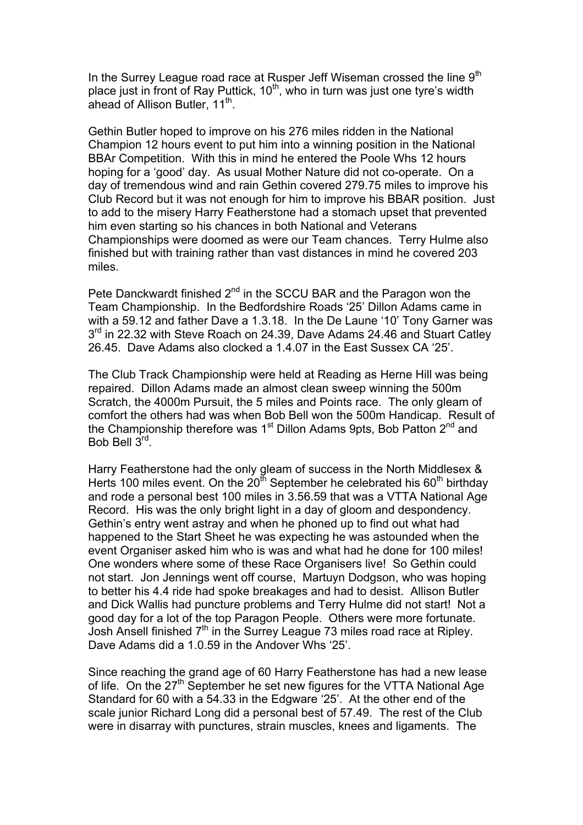In the Surrey League road race at Rusper Jeff Wiseman crossed the line 9<sup>th</sup> place just in front of Ray Puttick,  $10<sup>th</sup>$ , who in turn was just one tyre's width ahead of Allison Butler, 11<sup>th</sup>.

Gethin Butler hoped to improve on his 276 miles ridden in the National Champion 12 hours event to put him into a winning position in the National BBAr Competition. With this in mind he entered the Poole Whs 12 hours hoping for a 'good' day. As usual Mother Nature did not co-operate. On a day of tremendous wind and rain Gethin covered 279.75 miles to improve his Club Record but it was not enough for him to improve his BBAR position. Just to add to the misery Harry Featherstone had a stomach upset that prevented him even starting so his chances in both National and Veterans Championships were doomed as were our Team chances. Terry Hulme also finished but with training rather than vast distances in mind he covered 203 miles.

Pete Danckwardt finished 2<sup>nd</sup> in the SCCU BAR and the Paragon won the Team Championship. In the Bedfordshire Roads '25' Dillon Adams came in with a 59.12 and father Dave a 1.3.18. In the De Laune '10' Tony Garner was 3<sup>rd</sup> in 22.32 with Steve Roach on 24.39, Dave Adams 24.46 and Stuart Catley 26.45. Dave Adams also clocked a 1.4.07 in the East Sussex CA '25'.

The Club Track Championship were held at Reading as Herne Hill was being repaired. Dillon Adams made an almost clean sweep winning the 500m Scratch, the 4000m Pursuit, the 5 miles and Points race. The only gleam of comfort the others had was when Bob Bell won the 500m Handicap. Result of the Championship therefore was  $1<sup>st</sup>$  Dillon Adams 9pts, Bob Patton  $2<sup>nd</sup>$  and Bob Bell 3rd.

Harry Featherstone had the only gleam of success in the North Middlesex & Herts 100 miles event. On the  $20<sup>th</sup>$  September he celebrated his  $60<sup>th</sup>$  birthday and rode a personal best 100 miles in 3.56.59 that was a VTTA National Age Record. His was the only bright light in a day of gloom and despondency. Gethin's entry went astray and when he phoned up to find out what had happened to the Start Sheet he was expecting he was astounded when the event Organiser asked him who is was and what had he done for 100 miles! One wonders where some of these Race Organisers live! So Gethin could not start. Jon Jennings went off course, Martuyn Dodgson, who was hoping to better his 4.4 ride had spoke breakages and had to desist. Allison Butler and Dick Wallis had puncture problems and Terry Hulme did not start! Not a good day for a lot of the top Paragon People. Others were more fortunate. Josh Ansell finished 7th in the Surrey League 73 miles road race at Ripley. Dave Adams did a 1.0.59 in the Andover Whs '25'.

Since reaching the grand age of 60 Harry Featherstone has had a new lease of life. On the 27<sup>th</sup> September he set new figures for the VTTA National Age Standard for 60 with a 54.33 in the Edgware '25'. At the other end of the scale junior Richard Long did a personal best of 57.49. The rest of the Club were in disarray with punctures, strain muscles, knees and ligaments. The